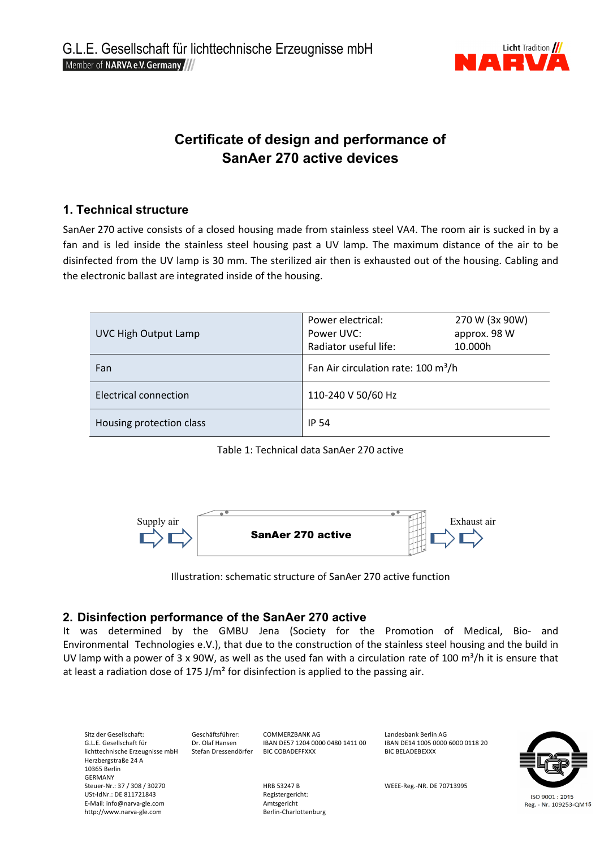

# **Certificate of design and performance of SanAer 270 active devices**

## **1. Technical structure**

SanAer 270 active consists of a closed housing made from stainless steel VA4. The room air is sucked in by a fan and is led inside the stainless steel housing past a UV lamp. The maximum distance of the air to be disinfected from the UV lamp is 30 mm. The sterilized air then is exhausted out of the housing. Cabling and the electronic ballast are integrated inside of the housing.

| <b>UVC High Output Lamp</b> | Power electrical:<br>Power UVC:<br>Radiator useful life: | 270 W (3x 90W)<br>approx. 98 W<br>10.000h |
|-----------------------------|----------------------------------------------------------|-------------------------------------------|
| Fan                         | Fan Air circulation rate: 100 m <sup>3</sup> /h          |                                           |
| Electrical connection       | 110-240 V 50/60 Hz                                       |                                           |
| Housing protection class    | IP 54                                                    |                                           |

Table 1: Technical data SanAer 270 active



Illustration: schematic structure of SanAer 270 active function

## **2. Disinfection performance of the SanAer 270 active**

It was determined by the GMBU Jena (Society for the Promotion of Medical, Bio- and Environmental Technologies e.V.), that due to the construction of the stainless steel housing and the build in UV lamp with a power of 3 x 90W, as well as the used fan with a circulation rate of 100  $m^3/h$  it is ensure that at least a radiation dose of 175 J/m<sup>2</sup> for disinfection is applied to the passing air.